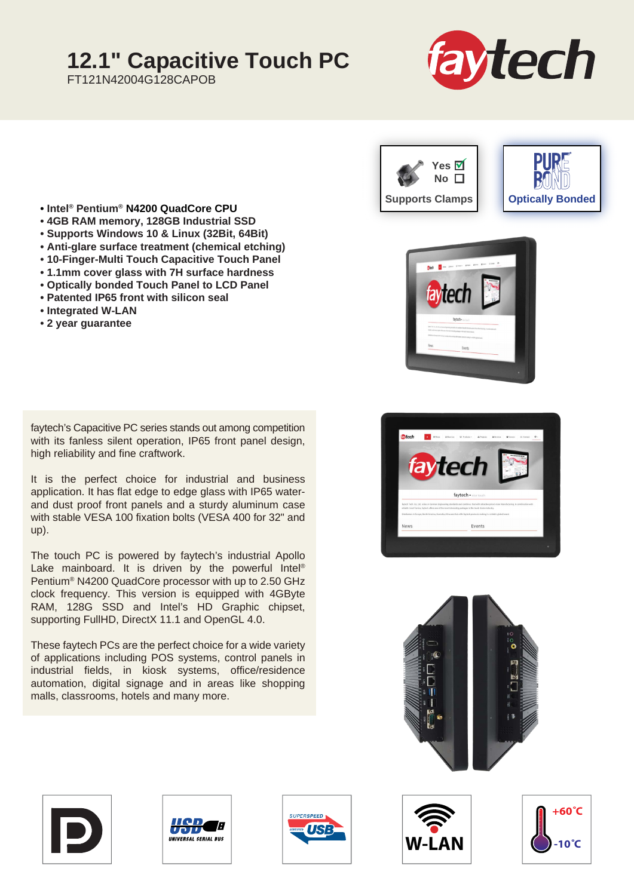## **12.1" Capacitive Touch PC**

FT121N42004G128CAPOB



- **Intel® Pentium® N4200 QuadCore CPU**
- **4GB RAM memory, 128GB Industrial SSD**
- **Supports Windows 10 & Linux (32Bit, 64Bit)**
- **Anti-glare surface treatment (chemical etching)**
- **10-Finger-Multi Touch Capacitive Touch Panel**
- **1.1mm cover glass with 7H surface hardness**
- **Optically bonded Touch Panel to LCD Panel**
- **Patented IP65 front with silicon seal**
- **Integrated W-LAN**
- **2 year guarantee**

faytech's Capacitive PC series stands out among competition with its fanless silent operation, IP65 front panel design, high reliability and fine craftwork.

It is the perfect choice for industrial and business application. It has flat edge to edge glass with IP65 waterand dust proof front panels and a sturdy aluminum case with stable VESA 100 fixation bolts (VESA 400 for 32" and up).

The touch PC is powered by faytech's industrial Apollo Lake mainboard. It is driven by the powerful Intel<sup>®</sup> Pentium® N4200 QuadCore processor with up to 2.50 GHz clock frequency. This version is equipped with 4GByte RAM, 128G SSD and Intel's HD Graphic chipset, supporting FullHD, DirectX 11.1 and OpenGL 4.0.

These faytech PCs are the perfect choice for a wide variety of applications including POS systems, control panels in industrial fields, in kiosk systems, office/residence automation, digital signage and in areas like shopping malls, classrooms, hotels and many more.